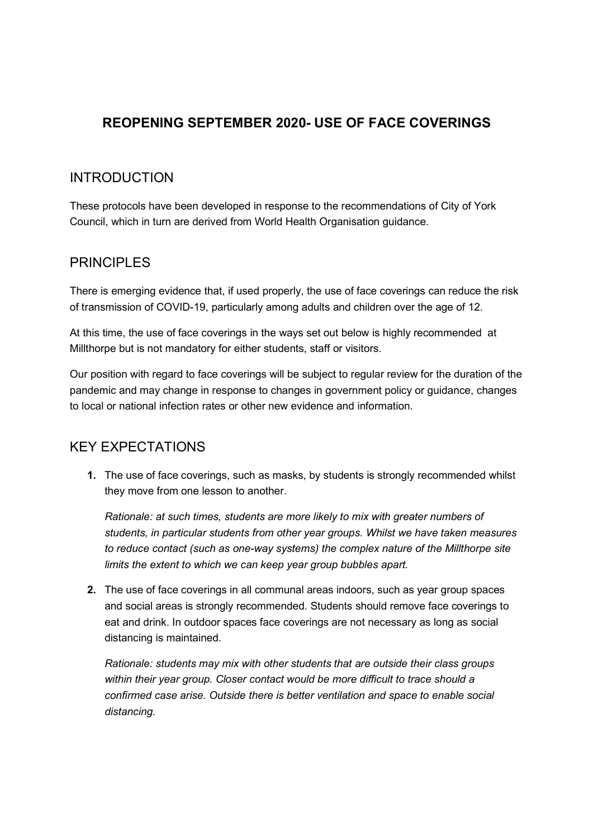## REOPENING SEPTEMBER 2020- USE OF FACE COVERINGS

### INTRODUCTION

These protocols have been developed in response to the recommendations of City of York Council, which in turn are derived from World Health Organisation guidance.

## PRINCIPLES

There is emerging evidence that, if used properly, the use of face coverings can reduce the risk of transmission of COVID-19, particularly among adults and children over the age of 12.

At this time, the use of face coverings in the ways set out below is highly recommended at Millthorpe but is not mandatory for either students, staff or visitors.

Our position with regard to face coverings will be subject to regular review for the duration of the pandemic and may change in response to changes in government policy or guidance, changes to local or national infection rates or other new evidence and information.

# KEY EXPECTATIONS

1. The use of face coverings, such as masks, by students is strongly recommended whilst they move from one lesson to another.

Rationale: at such times, students are more likely to mix with greater numbers of students, in particular students from other year groups. Whilst we have taken measures to reduce contact (such as one-way systems) the complex nature of the Millthorpe site limits the extent to which we can keep year group bubbles apart.

2. The use of face coverings in all communal areas indoors, such as year group spaces and social areas is strongly recommended. Students should remove face coverings to eat and drink. In outdoor spaces face coverings are not necessary as long as social distancing is maintained.

Rationale: students may mix with other students that are outside their class groups within their year group. Closer contact would be more difficult to trace should a confirmed case arise. Outside there is better ventilation and space to enable social distancing.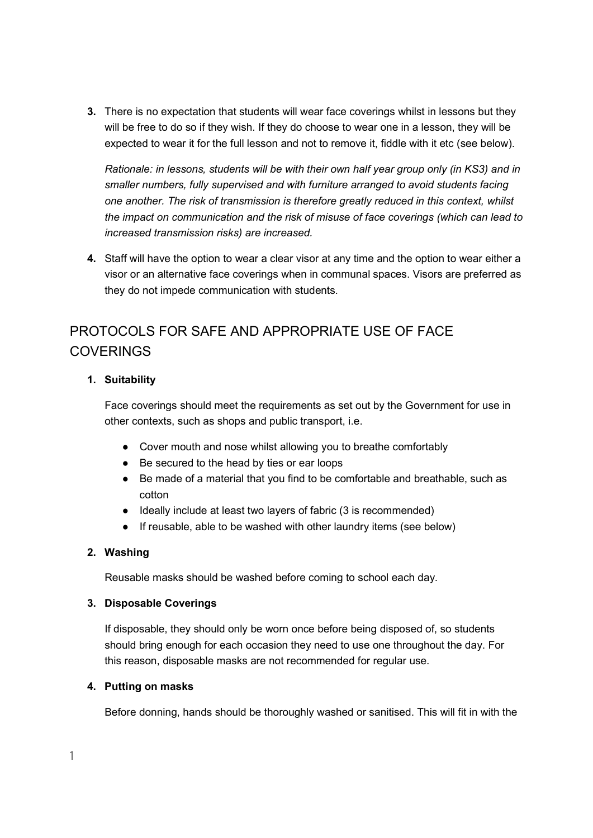3. There is no expectation that students will wear face coverings whilst in lessons but they will be free to do so if they wish. If they do choose to wear one in a lesson, they will be expected to wear it for the full lesson and not to remove it, fiddle with it etc (see below).

Rationale: in lessons, students will be with their own half year group only (in KS3) and in smaller numbers, fully supervised and with furniture arranged to avoid students facing one another. The risk of transmission is therefore greatly reduced in this context, whilst the impact on communication and the risk of misuse of face coverings (which can lead to increased transmission risks) are increased.

4. Staff will have the option to wear a clear visor at any time and the option to wear either a visor or an alternative face coverings when in communal spaces. Visors are preferred as they do not impede communication with students.

# PROTOCOLS FOR SAFE AND APPROPRIATE USE OF FACE COVERINGS

#### 1. Suitability

Face coverings should meet the requirements as set out by the Government for use in other contexts, such as shops and public transport, i.e.

- Cover mouth and nose whilst allowing you to breathe comfortably
- Be secured to the head by ties or ear loops
- Be made of a material that you find to be comfortable and breathable, such as cotton
- Ideally include at least two layers of fabric (3 is recommended)
- If reusable, able to be washed with other laundry items (see below)

#### 2. Washing

Reusable masks should be washed before coming to school each day.

#### 3. Disposable Coverings

If disposable, they should only be worn once before being disposed of, so students should bring enough for each occasion they need to use one throughout the day. For this reason, disposable masks are not recommended for regular use.

#### 4. Putting on masks

Before donning, hands should be thoroughly washed or sanitised. This will fit in with the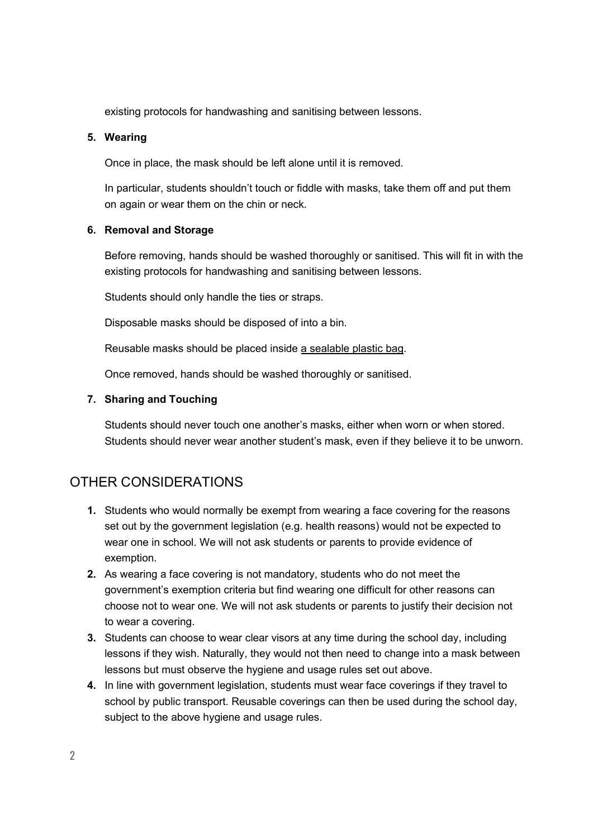existing protocols for handwashing and sanitising between lessons.

#### 5. Wearing

Once in place, the mask should be left alone until it is removed.

In particular, students shouldn't touch or fiddle with masks, take them off and put them on again or wear them on the chin or neck.

#### 6. Removal and Storage

Before removing, hands should be washed thoroughly or sanitised. This will fit in with the existing protocols for handwashing and sanitising between lessons.

Students should only handle the ties or straps.

Disposable masks should be disposed of into a bin.

Reusable masks should be placed inside a sealable plastic bag.

Once removed, hands should be washed thoroughly or sanitised.

#### 7. Sharing and Touching

Students should never touch one another's masks, either when worn or when stored. Students should never wear another student's mask, even if they believe it to be unworn.

## OTHER CONSIDERATIONS

- 1. Students who would normally be exempt from wearing a face covering for the reasons set out by the government legislation (e.g. health reasons) would not be expected to wear one in school. We will not ask students or parents to provide evidence of exemption.
- 2. As wearing a face covering is not mandatory, students who do not meet the government's exemption criteria but find wearing one difficult for other reasons can choose not to wear one. We will not ask students or parents to justify their decision not to wear a covering.
- 3. Students can choose to wear clear visors at any time during the school day, including lessons if they wish. Naturally, they would not then need to change into a mask between lessons but must observe the hygiene and usage rules set out above.
- 4. In line with government legislation, students must wear face coverings if they travel to school by public transport. Reusable coverings can then be used during the school day, subject to the above hygiene and usage rules.